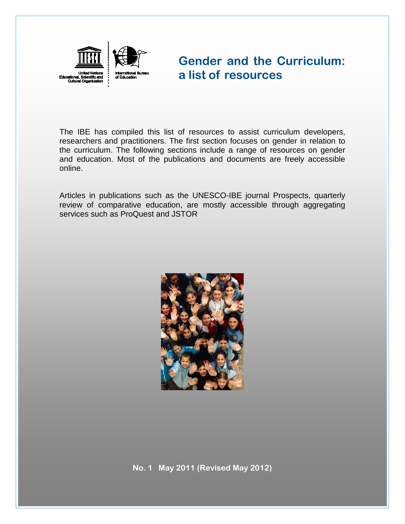

# **Gender and the Curriculum: a list of resources**

The IBE has compiled this list of resources to assist curriculum developers, researchers and practitioners. The first section focuses on gender in relation to the curriculum. The following sections include a range of resources on gender and education. Most of the publications and documents are freely accessible online.

Articles in publications such as the UNESCO-IBE journal Prospects, quarterly review of comparative education, are mostly accessible through aggregating services such as ProQuest and JSTOR

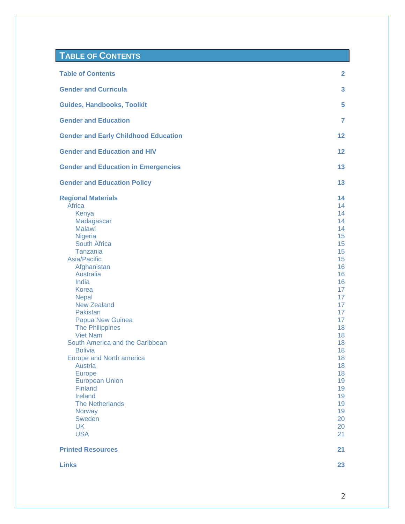### <span id="page-1-1"></span><span id="page-1-0"></span>**TABLE OF CONTENTS**

| <b>Table of Contents</b>                                                                                                                                                                                                                                                                                                                                                                                                                                                                                                                                                                  | $\mathbf{2}$                                                                                                                                                                                                                                     |
|-------------------------------------------------------------------------------------------------------------------------------------------------------------------------------------------------------------------------------------------------------------------------------------------------------------------------------------------------------------------------------------------------------------------------------------------------------------------------------------------------------------------------------------------------------------------------------------------|--------------------------------------------------------------------------------------------------------------------------------------------------------------------------------------------------------------------------------------------------|
| <b>Gender and Curricula</b>                                                                                                                                                                                                                                                                                                                                                                                                                                                                                                                                                               | 3                                                                                                                                                                                                                                                |
| <b>Guides, Handbooks, Toolkit</b>                                                                                                                                                                                                                                                                                                                                                                                                                                                                                                                                                         | 5                                                                                                                                                                                                                                                |
| <b>Gender and Education</b>                                                                                                                                                                                                                                                                                                                                                                                                                                                                                                                                                               | $\overline{7}$                                                                                                                                                                                                                                   |
| <b>Gender and Early Childhood Education</b>                                                                                                                                                                                                                                                                                                                                                                                                                                                                                                                                               | 12 <sub>2</sub>                                                                                                                                                                                                                                  |
| <b>Gender and Education and HIV</b>                                                                                                                                                                                                                                                                                                                                                                                                                                                                                                                                                       | $12 \overline{ }$                                                                                                                                                                                                                                |
| <b>Gender and Education in Emergencies</b>                                                                                                                                                                                                                                                                                                                                                                                                                                                                                                                                                | 13                                                                                                                                                                                                                                               |
| <b>Gender and Education Policy</b>                                                                                                                                                                                                                                                                                                                                                                                                                                                                                                                                                        | 13                                                                                                                                                                                                                                               |
| <b>Regional Materials</b><br>Africa<br>Kenya<br>Madagascar<br><b>Malawi</b><br><b>Nigeria</b><br><b>South Africa</b><br>Tanzania<br>Asia/Pacific<br>Afghanistan<br><b>Australia</b><br>India<br><b>Korea</b><br><b>Nepal</b><br><b>New Zealand</b><br>Pakistan<br>Papua New Guinea<br><b>The Philippines</b><br><b>Viet Nam</b><br>South America and the Caribbean<br><b>Bolivia</b><br><b>Europe and North america</b><br><b>Austria</b><br><b>Europe</b><br><b>European Union</b><br>Finland<br>Ireland<br><b>The Netherlands</b><br><b>Norway</b><br>Sweden<br><b>UK</b><br><b>USA</b> | 14<br>14<br>14<br>14<br>14<br>15<br>15<br>15<br>15<br>16<br>16<br>16<br>17 <sub>2</sub><br>17<br>17 <sub>2</sub><br>17 <sup>2</sup><br>17 <sup>2</sup><br>18<br>18<br>18<br>18<br>18<br>18<br>18<br>19<br>19<br>19<br>19<br>19<br>20<br>20<br>21 |
| <b>Printed Resources</b>                                                                                                                                                                                                                                                                                                                                                                                                                                                                                                                                                                  | 21                                                                                                                                                                                                                                               |
| <b>Links</b>                                                                                                                                                                                                                                                                                                                                                                                                                                                                                                                                                                              | 23                                                                                                                                                                                                                                               |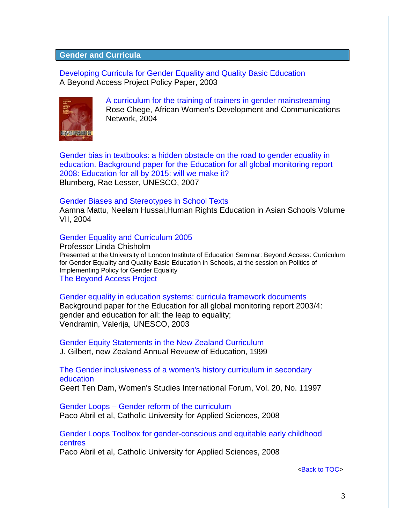### <span id="page-2-0"></span>**Gender and Curricula**

[Developing Curricula for Gender Equality and Quality Basic Education](http://www.oxfam.org.uk/resources/issues/education/downloads/ba_curricula.pdf) A Beyond Access Project Policy Paper, 2003



[A curriculum for the training of trainers in gender mainstreaming](http://www4.worldbank.org/afr/ssatp/Resources/HTML/Gender-RG/Source%20%20documents/Training%20materials/TRGEN1%20Femnet%20Gender%20Mainstreaming%20TOT.pdf) Rose Chege, African Women's Development and Communications Network, 2004

[Gender bias in textbooks: a hidden obstacle on the road to gender equality in](http://unesdoc.unesco.org/images/0015/001555/155509e.pdf)  [education. Background paper for the Education for all global monitoring report](http://unesdoc.unesco.org/images/0015/001555/155509e.pdf)  [2008: Education for all by 2015: will we make it?](http://unesdoc.unesco.org/images/0015/001555/155509e.pdf) Blumberg, Rae Lesser, UNESCO, 2007

#### [Gender Biases and Stereotypes in School Texts](http://www.hurights.or.jp/pub/hreas/7/11GenderBias.pdf)

Aamna Mattu, Neelam Hussai,Human Rights Education in Asian Schools Volume VII, 2004

#### [Gender Equality and Curriculum 2005](http://www.hsrc.ac.za/research/output/outputDocuments/2284_Chisholm_GenderandCurriculum2005.pdf)

Professor Linda Chisholm Presented at the University of London Institute of Education Seminar: Beyond Access: Curriculum for Gender Equality and Quality Basic Education in Schools, at the session on Politics of Implementing Policy for Gender Equality [The Beyond Access Project](http://www.ioe.ac.uk/research/27053.html)

[Gender equality in education systems: curricula framework documents](http://unesdoc.unesco.org/images/0014/001469/146973e.pdf) Background paper for the Education for all global monitoring report 2003/4: gender and education for all: the leap to equality; Vendramin, Valerija, UNESCO, 2003

[Gender Equity Statements in the New Zealand Curriculum](http://www.victoria.ac.nz/nzaroe/1998/pdf/text-gilbert.pdf)  J. Gilbert, new Zealand Annual Revuew of Education, 1999

[The Gender inclusiveness of a women's history curriculum in secondary](http://dare.uva.nl/document/44648)  [education](http://dare.uva.nl/document/44648)

Geert Ten Dam, Women's Studies International Forum, Vol. 20, No. 11997

Gender Loops – [Gender reform of the curriculum](http://www.genderloops.eu/docs/curriculum.pdf) Paco Abril et al, Catholic University for Applied Sciences, 2008

[Gender Loops Toolbox for gender-conscious and equitable early childhood](http://www.genderloops.eu/docs/toolbox.pdf)  [centres](http://www.genderloops.eu/docs/toolbox.pdf)

Paco Abril et al, Catholic University for Applied Sciences, 2008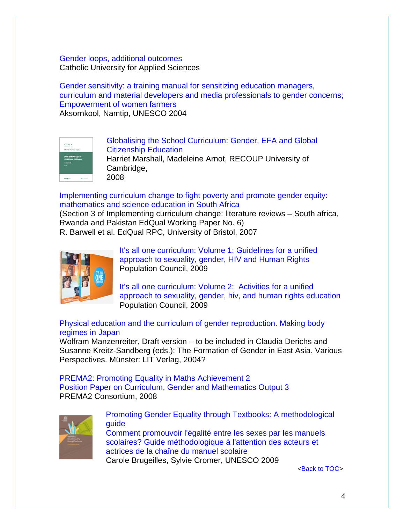### [Gender loops, additional outcomes](http://www.genderloops.eu/en/outcomes.php) Catholic University for Applied Sciences

[Gender sensitivity: a training manual for sensitizing education managers,](http://unesdoc.unesco.org/images/0013/001376/137604eo.pdf)  [curriculum and material developers and media professionals to gender concerns;](http://unesdoc.unesco.org/images/0013/001376/137604eo.pdf)  [Empowerment of women farmers](http://unesdoc.unesco.org/images/0013/001376/137604eo.pdf) Aksornkool, Namtip, UNESCO 2004

| RECOUP<br>RECOUP Working Paper 2                                                                    |  |
|-----------------------------------------------------------------------------------------------------|--|
| Cinhai Gender Casis and the<br>Coustscribes of Equality:<br>Countries the same of New Press<br>$ -$ |  |
|                                                                                                     |  |

[Globalising the School Curriculum: Gender, EFA and Global](http://recoup.educ.cam.ac.uk/publications/WP17-MA.pdf)  [Citizenship](http://recoup.educ.cam.ac.uk/publications/WP17-MA.pdf) [Education](http://recoup.educ.cam.ac.uk/publications/WP17-MA.pdf) Harriet Marshall, Madeleine Arnot, RECOUP University of Cambridge, 2008

[Implementing curriculum change to fight poverty and promote gender equity:](http://www.edqual.org/publications/workingpaper/edqualwp6.pdf)  [mathematics and science education in South Africa](http://www.edqual.org/publications/workingpaper/edqualwp6.pdf) (Section 3 of Implementing curriculum change: literature reviews – South africa, Rwanda and Pakistan EdQual Working Paper No. 6)

R. Barwell et al. EdQual RPC, University of Bristol, 2007



[It's all one curriculum: Volume 1: Guidelines for a unified](http://www.popcouncil.org/pdfs/2011PGY_ItsAllOneGuidelines_en.pdf)  [approach to sexuality, gender, HIV and Human Rights](http://www.popcouncil.org/pdfs/2011PGY_ItsAllOneGuidelines_en.pdf) Population Council, 2009

[It's all one curriculum: Volume 2: Activities for a unified](http://www.popcouncil.org/pdfs/2011PGY_ItsAllOneActivities_en.pdf)  [approach to sexuality, gender, hiv, and human rights education](http://www.popcouncil.org/pdfs/2011PGY_ItsAllOneActivities_en.pdf) Population Council, 2009

# [Physical education and the curriculum of gender reproduction. Making body](http://kenkyuu.eas.univie.ac.at/fileadmin/STAFF_DIRECTORY/Manzenreiter/PE_making_body_regimes.pdf)  [regimes in Japan](http://kenkyuu.eas.univie.ac.at/fileadmin/STAFF_DIRECTORY/Manzenreiter/PE_making_body_regimes.pdf)

Wolfram Manzenreiter, Draft version – to be included in Claudia Derichs and Susanne Kreitz-Sandberg (eds.): The Formation of Gender in East Asia. Various Perspectives. Münster: LIT Verlag, 2004?

[PREMA2: Promoting Equality in Maths Achievement 2](http://prema2.iacm.forth.gr/docs/dels/Output3.pdf) [Position Paper on Curriculum, Gender and Mathematics Output 3](http://prema2.iacm.forth.gr/docs/dels/Output3.pdf) PREMA2 Consortium, 2008



[Promoting Gender Equality through Textbooks: A methodological](http://unesdoc.unesco.org/images/0015/001588/158897e.pdf)  [guide](http://unesdoc.unesco.org/images/0015/001588/158897e.pdf)

[Comment promouvoir l'égalité entre les sexes](http://unesdoc.unesco.org/images/0015/001588/158897f.pdf) par les manuels [scolaires? Guide méthodologique à l'attention des acteurs et](http://unesdoc.unesco.org/images/0015/001588/158897f.pdf)  [actrices de la chaîne du manuel scolaire](http://unesdoc.unesco.org/images/0015/001588/158897f.pdf) Carole Brugeilles, Sylvie Cromer, UNESCO 2009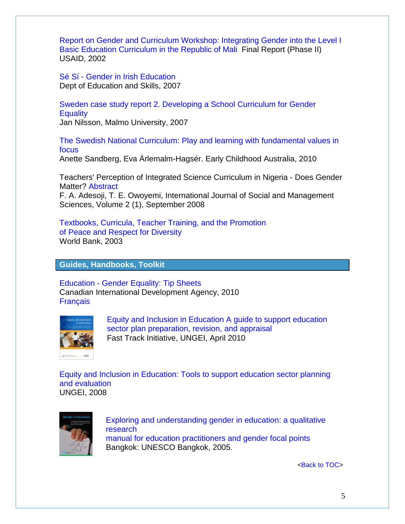[Report on Gender and Curriculum Workshop: Integrating Gender into the Level I](http://pdf.usaid.gov/pdf_docs/PNADC662.pdf)  [Basic Education Curriculum in the Republic of Mali](http://pdf.usaid.gov/pdf_docs/PNADC662.pdf) Final Report (Phase II) USAID, 2002

Sé Sí - [Gender in Irish Education](http://www.education.ie/home/home.jsp?pcategory=17216&ecategory=17325&language=EN) Dept of Education and Skills, 2007

[Sweden case study report 2. Developing a School Curriculum for Gender](http://www.epasi.eu/CaseStudySE2.pdf)  **[Equality](http://www.epasi.eu/CaseStudySE2.pdf)** 

Jan Nilsson, Malmo University, 2007

[The Swedish National Curriculum: Play and learning with fundamental values in](http://www.earlychildhoodaustralia.org.au/index2.php?option=com_content&do_pdf=1&id=1395)  [focus](http://www.earlychildhoodaustralia.org.au/index2.php?option=com_content&do_pdf=1&id=1395)

Anette Sandberg, Eva Ärlemalm-Hagsér. Early Childhood Australia, 2010

Teachers' Perception of Integrated Science Curriculum in Nigeria - Does Gender Matter? [Abstract](http://www.ijosams.com/home/index.php?option=com_content&view=article&id=96:teachers-perception-of-integrated-science-curriculum-in-nigeria-does-gender-matter-&catid=42:volume-2-no-1&Itemid=59)

F. A. Adesoji, T. E. Owoyemi, International Journal of Social and Management Sciences, Volume 2 (1), September 2008

[Textbooks, Curricula, Teacher Training, and the Promotion](http://siteresources.worldbank.org/EDUCATION/Resources/278200-1121703274255/1439264-1126807073059/unesco_WB_meeting_Mar03.pdf) [of Peace and Respect for Diversity](http://siteresources.worldbank.org/EDUCATION/Resources/278200-1121703274255/1439264-1126807073059/unesco_WB_meeting_Mar03.pdf) World Bank, 2003

### <span id="page-4-0"></span>**Guides, Handbooks, Toolkit**

Education - [Gender Equality: Tip Sheets](http://dsp-psd.pwgsc.gc.ca/collections/collection_2010/acdi-cida/CD4-62-2010-eng.pdf) Canadian International Development Agency, 2010 **[Français](http://dsp-psd.tpsgc.gc.ca/collections/collection_2010/acdi-cida/CD4-62-2010-fra.pdf)** 



[Equity and Inclusion in Education A guide to support education](http://www.unicef.org/education/files/Equity_and_Inclusion_Guide.pdfhttp:/www.educationfasttrack.org/FTI-at-Work/vulnerable-groups/)  [sector plan preparation, revision, and appraisal](http://www.unicef.org/education/files/Equity_and_Inclusion_Guide.pdfhttp:/www.educationfasttrack.org/FTI-at-Work/vulnerable-groups/) Fast Track Initiative, UNGEI, April 2010

[Equity and Inclusion in Education: Tools to support education sector planning](http://www.ungei.org/resources/files/Equity_Inclusion_tools_4-08.pdf)  [and evaluation](http://www.ungei.org/resources/files/Equity_Inclusion_tools_4-08.pdf)  UNGEI, 2008



[Exploring and understanding gender in education: a qualitative](http://www.ungei.org/resources/files/Exploring_and_understanding_gender_in_education_UNESCO.pdf)  [research](http://www.ungei.org/resources/files/Exploring_and_understanding_gender_in_education_UNESCO.pdf) [manual for education practitioners and gender focal points](http://www.ungei.org/resources/files/Exploring_and_understanding_gender_in_education_UNESCO.pdf) Bangkok: UNESCO Bangkok, 2005.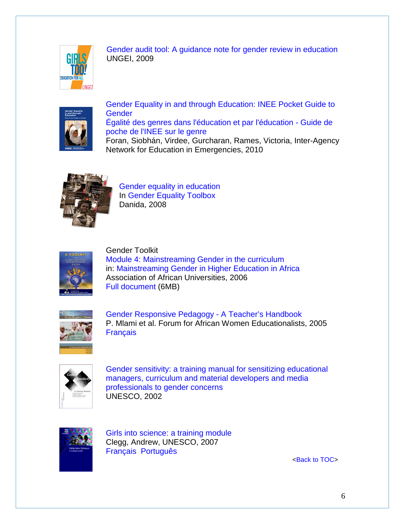

[Gender audit tool: A guidance note for gender review in education](http://www.ungei.org/resources/index_2123.html) UNGEI, 2009



[Gender Equality in and through Education: INEE Pocket Guide to](http://resourcecentre.savethechildren.se/content/library/documents/gender-equality-and-through-education-inee-pocket-guide-gender)  **[Gender](http://resourcecentre.savethechildren.se/content/library/documents/gender-equality-and-through-education-inee-pocket-guide-gender)** [Égalité des genres dans l'éducation et par l'éducation -](http://www.ineesite.org/toolkit/INEEcms/uploads/1009/INEE_Pocket_Guide_to_Gender_FR.pdf) Guide de [poche de l'INEE sur le genre](http://www.ineesite.org/toolkit/INEEcms/uploads/1009/INEE_Pocket_Guide_to_Gender_FR.pdf) Foran, Siobhán, Virdee, Gurcharan, Rames, Victoria, Inter-Agency

Network for Education in Emergencies, 2010



[Gender equality in education](http://www.danidadevforum.um.dk/NR/rdonlyres/4A3C6D83-CF0C-4310-9B0B-261B7BEFEB7D/0/052_GEineducation.pdf) In [Gender Equality Toolbox](http://www.danidadevforum.um.dk/en/menu/Topics/GenderEquality/GenderEquality.htm) Danida, 2008



Gender Toolkit [Module 4: Mainstreaming Gender in the curriculum](http://www2.aau.org/wghe/gender/toolkit/Toolkit-module4.pdf) in: [Mainstreaming Gender in Higher Education in Africa](http://www2.aau.org/gender/publications.htm) Association of African Universities, 2006 [Full document](http://www2.aau.org/wghe/gender/toolkit/Tooltik-complete.pdf) (6MB)



[Gender Responsive Pedagogy -](http://www.ungei.org/resources/files/FAWE_GRP_ENGLISH_VERSION.pdf) A Teacher's Handbook P. Mlami et al. Forum for African Women Educationalists, 2005 [Français](http://www.ungei.org/resources/files/FAWE_GRP_French_version.pdf)



Gender [sensitivity: a training manual for sensitizing educational](http://unesdoc.unesco.org/images/0012/001281/128166eb.pdf)  [managers, curriculum and material developers and media](http://unesdoc.unesco.org/images/0012/001281/128166eb.pdf)  [professionals to gender concerns](http://unesdoc.unesco.org/images/0012/001281/128166eb.pdf) UNESCO, 2002



[Girls into science: a training module](http://unesdoc.unesco.org/images/0015/001548/154837e.pdf) Clegg, Andrew, UNESCO, 2007 [Français](http://unesdoc.unesco.org/images/0015/001548/154837f.pdf) [Português](http://unesdoc.unesco.org/images/0015/001548/154837por.pdf)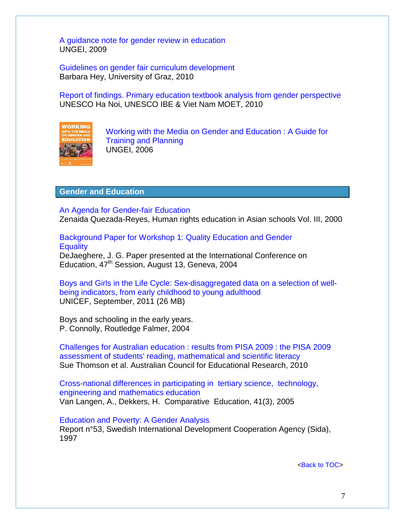[A guidance note for gender review in education](http://www.ungei.org/resources/files/Gender_audit_tool_English_version.pdf) UNGEI, 2009

[Guidelines on gender fair curriculum development](http://www.wus-austria.org/files/docs/Publications/guidelines_gender_fair_curriculum_development.pdf) Barbara Hey, University of Graz, 2010

[Report of findings. Primary education textbook analysis from gender perspective](http://www.ibe.unesco.org/fileadmin/user_upload/News/2010/DoSon_workshop_2010_SummaryReport.pdf) UNESCO Ha Noi, UNESCO IBE & Viet Nam MOET, 2010



[Working with the Media on Gender and Education : A Guide for](http://www.ungei.org/resources/files/beyond_access_media_guide.pdf)  [Training and Planning](http://www.ungei.org/resources/files/beyond_access_media_guide.pdf) UNGEI, 2006

#### <span id="page-6-0"></span>**Gender and Education**

[An Agenda for Gender-fair Education](http://www.hurights.or.jp/pub/hreas/3/11reyes.pdf) Zenaida Quezada-Reyes, Human rights education in Asian schools Vol. III, 2000

[Background Paper for Workshop 1: Quality Education and Gender](http://www.ibe.unesco.org/International/ICE47/English/Organisation/Workshops/Background%20at-1%20ENG.pdf) **[Equality](http://www.ibe.unesco.org/International/ICE47/English/Organisation/Workshops/Background%20at-1%20ENG.pdf)** DeJaeghere, J. G. Paper presented at the International Conference on

Education, 47<sup>th</sup> Session, August 13, Geneva, 2004

[Boys and Girls in the Life Cycle: Sex-disaggregated data on a selection of well](http://www.unicef.org/media/files/Gender_hi_res.pdf)[being indicators, from early childhood to young adulthood](http://www.unicef.org/media/files/Gender_hi_res.pdf) UNICEF, September, 2011 (26 MB)

Boys and schooling in the early years. P. Connolly, Routledge Falmer, 2004

[Challenges for Australian education : results from PISA 2009 : the PISA 2009](http://research.acer.edu.au/cgi/viewcontent.cgi?article=1008&context=ozpisa)  [assessment of students' reading, mathematical and scientific literacy](http://research.acer.edu.au/cgi/viewcontent.cgi?article=1008&context=ozpisa) Sue Thomson et al. Australian Council for Educational Research, 2010

[Cross-national differences in participating in tertiary science, technology,](http://prema.iacm.forth.gr/docs/ws1/papers/Van%20Langen1.pdf)  [engineering and mathematics education](http://prema.iacm.forth.gr/docs/ws1/papers/Van%20Langen1.pdf) Van Langen, A., Dekkers, H. Comparative Education, 41(3), 2005

[Education and Poverty: A Gender](http://www.bridge.ids.ac.uk/reports/re53.pdf) Analysis Report n°53, Swedish International Development Cooperation Agency (Sida), 1997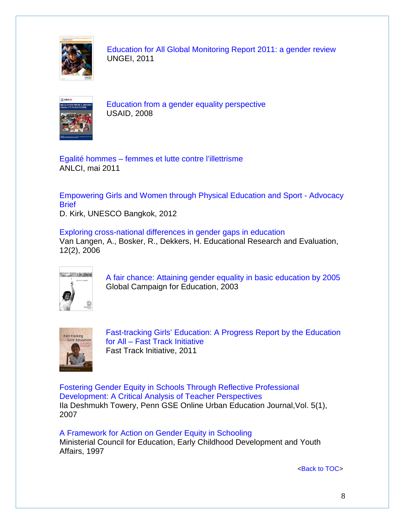

[Education for All Global Monitoring Report 2011: a gender review](http://www.ungei.org/files/UNGEI_2011_GMR_Gender_Review.pdf) UNGEI, 2011



[Education from a gender equality perspective](http://www.ungei.org/resources/files/Education_from_a_Gender_Equality_Perspective.pdf) USAID, 2008

Egalité hommes – [femmes et lutte contre l'illettrisme](http://www.anlci.gouv.fr/fileadmin/Medias/PDF/EDITIONS/HommesFemmesanlci_mai2011.pdf) ANLCI, mai 2011

[Empowering Girls and Women through Physical Education and Sport -](http://unesdoc.unesco.org/images/0021/002157/215707e.pdf) Advocacy **[Brief](http://unesdoc.unesco.org/images/0021/002157/215707e.pdf)** 

D. Kirk, UNESCO Bangkok, 2012

[Exploring cross-national differences in gender gaps in education](http://prema.iacm.forth.gr/docs/ws1/papers/Van%20Langen2.pdf) Van Langen, A., Bosker, R., Dekkers, H. Educational Research and Evaluation, 12(2), 2006



[A fair chance: Attaining gender equality in basic education by 2005](http://www.ungei.org/resources/files/gce_afairchance_full.pdf) Global Campaign for Education, 2003



[Fast-tracking Girls' Education: A Progress Report by the Education](http://www.educationfasttrack.org/media/library/girls-report/1-FastTrackEd-Girls-education-report-full.pdf)  for All – [Fast Track Initiative](http://www.educationfasttrack.org/media/library/girls-report/1-FastTrackEd-Girls-education-report-full.pdf) Fast Track Initiative, 2011

[Fostering Gender Equity in Schools Through Reflective Professional](http://www.urbanedjournal.org/archive/Unsorted%20Archives/articles/article0032.html)  [Development: A Critical Analysis of Teacher Perspectives](http://www.urbanedjournal.org/archive/Unsorted%20Archives/articles/article0032.html) Ila Deshmukh Towery, Penn GSE Online Urban Education Journal,Vol. 5(1), 2007

[A Framework for Action on Gender Equity in Schooling](http://www.mceecdya.edu.au/mceecdya/default.asp?id=11952) Ministerial Council for Education, Early Childhood Development and Youth Affairs, 1997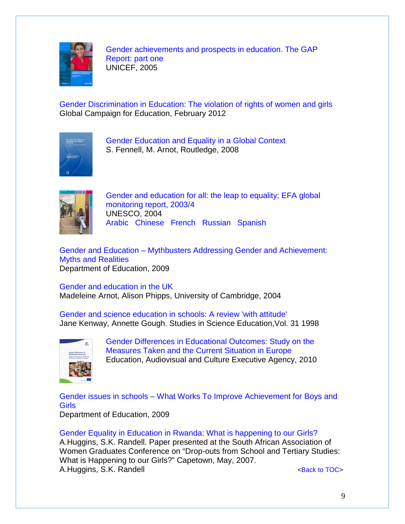

[Gender achievements and prospects in education. The GAP](http://www.ungei.org/gap/pdfs/unicef_gap_low_res.pdf)  [Report: part one](http://www.ungei.org/gap/pdfs/unicef_gap_low_res.pdf) UNICEF, 2005

[Gender Discrimination in Education: The violation of rights of women and girls](http://campaignforeducation.org/docs/reports/GCE_INTERIM_Gender_Report.pdf) Global Campaign for Education, February 2012



[Gender Education and Equality in a Global Context](http://recoup.educ.cam.ac.uk/publications/FennellandArnotBook08.pdf) S. Fennell, M. Arnot, Routledge, 2008



[Gender and education for all: the leap to equality; EFA global](http://unesdoc.unesco.org/images/0013/001325/132550e.pdf)  [monitoring report, 2003/4](http://unesdoc.unesco.org/images/0013/001325/132550e.pdf) UNESCO, 2004 [Arabic](http://unesdoc.unesco.org/images/0013/001325/132550a.pdf) [Chinese](http://unesdoc.unesco.org/images/0013/001325/132550cb.pdf) [French](http://unesdoc.unesco.org/images/0013/001325/132550f.pdf) [Russian](http://unesdoc.unesco.org/images/0013/001325/132550r.pdf) [Spanish](http://unesdoc.unesco.org/images/0013/001325/132550s.pdf)

Gender and Education – [Mythbusters Addressing Gender and Achievement:](https://www.education.gov.uk/publications/eOrderingDownload/00599-2009BKT-EN.pdf)  [Myths and Realities](https://www.education.gov.uk/publications/eOrderingDownload/00599-2009BKT-EN.pdf) Department of Education, 2009

[Gender and education in the UK](http://portal.unesco.org/education/es/files/25755/10739011441Gender_and_Education_in_the_UK.doc/Gender+and+Education+in+the+UK.doc) Madeleine Arnot, Alison Phipps, University of Cambridge, 2004

[Gender and science education in schools: A review 'with attitude'](http://education.uregina.ca/nolank/ECIwinter2005/articles/GOUGH%20on%20gender%20science.pdf) Jane Kenway, Annette Gough. Studies in Science Education,Vol. 31 1998



[Gender Differences in Educational Outcomes: Study on the](http://eacea.ec.europa.eu/education/eurydice/documents/thematic_reports/120EN.pdf)  [Measures Taken and the Current Situation in Europe](http://eacea.ec.europa.eu/education/eurydice/documents/thematic_reports/120EN.pdf) Education, Audiovisual and Culture Executive Agency, 2010

Gender issues in schools – [What Works To Improve Achievement for Boys and](http://media.education.gov.uk/assets/files/pdf/8/8311dcsfgender%20what%20works%20bmkpdf.pdf)  [Girls](http://media.education.gov.uk/assets/files/pdf/8/8311dcsfgender%20what%20works%20bmkpdf.pdf) Department of Education, 2009

[Gender Equality in Education in Rwanda: What is happening to our Girls?](http://www.ifuw.org/rwanda/media/art-education.pdf) A.Huggins, S.K. Randell. Paper presented at the South African Association of Women Graduates Conference on "Drop-outs from School and Tertiary Studies: What is Happening to our Girls?" Capetown, May, 2007. A.Huggins, S.K. Randell **Example 20** and the set of the set of the set of the set of the set of the set of the set of the set of the set of the set of the set of the set of the set of the set of the set of the set of the s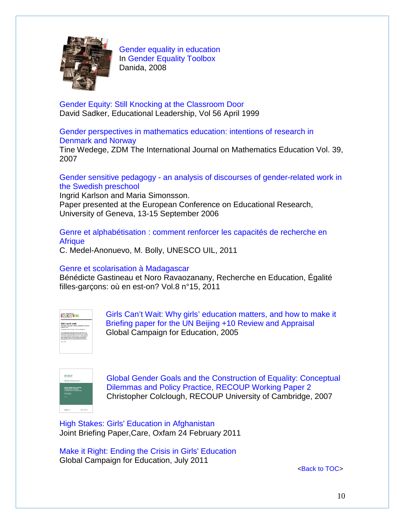

[Gender equality in education](http://www.danidadevforum.um.dk/NR/rdonlyres/4A3C6D83-CF0C-4310-9B0B-261B7BEFEB7D/0/052_GEineducation.pdf) In [Gender Equality Toolbox](http://www.danidadevforum.um.dk/en/menu/Topics/SocialDevelopment/GenderEquality/) Danida, 2008

[Gender Equity: Still Knocking at the Classroom Door](http://www.sadker.org/PDF/GenderEquity.pdf) David Sadker, Educational Leadership, Vol 56 April 1999

[Gender perspectives in mathematics education: intentions of research in](http://dspace.mah.se/dspace/bitstream/handle/2043/4459/TineWedege_ZMD_39.pdf;jsessionid=CBE8AA4E42DE769E0A77A6A944E2971A?sequence=1)  [Denmark and Norway](http://dspace.mah.se/dspace/bitstream/handle/2043/4459/TineWedege_ZMD_39.pdf;jsessionid=CBE8AA4E42DE769E0A77A6A944E2971A?sequence=1)

Tine Wedege, ZDM The International Journal on Mathematics Education Vol. 39, 2007

Gender sensitive pedagogy - [an analysis of discourses of gender-related work in](http://www.leeds.ac.uk/educol/documents/158671.htm)  [the Swedish preschool](http://www.leeds.ac.uk/educol/documents/158671.htm)

Ingrid Karlson and Maria Simonsson. Paper presented at the European Conference on Educational Research, University of Geneva, 13-15 September 2006

[Genre et alphabétisation : comment renforcer les capacités de recherche en](http://unesdoc.unesco.org/images/0019/001923/192397f.pdf)  **[Afrique](http://unesdoc.unesco.org/images/0019/001923/192397f.pdf)** 

C. Medel-Anonuevo, M. Bolly, UNESCO UIL, 2011

### [Genre et scolarisation à Madagascar](http://questionsvives.revues.org/710)

Bénédicte Gastineau et Noro Ravaozanany, Recherche en Education, Égalité filles-garçons: où en est-on? Vol.8 n°15, 2011

| OLOGNI, CAMPARIN FOR<br><b>EDUCATION</b>                                                                                                                                                                                                                                                                                                                                                                                                                                                                      |  |  |
|---------------------------------------------------------------------------------------------------------------------------------------------------------------------------------------------------------------------------------------------------------------------------------------------------------------------------------------------------------------------------------------------------------------------------------------------------------------------------------------------------------------|--|--|
| Girls can't wait<br>Why girls' education matters, and how to make it.<br>hancen now<br>Rocksplage for the US Bears +13 Keyward Assistant                                                                                                                                                                                                                                                                                                                                                                      |  |  |
| The A Terrain Section will<br>Minimum Payerboard news - better surfull adultation from Class<br>the text decade, close ends hands have there which size a<br>tion counts study trivate of exact broat filmfun expanses.<br>will grantened stational unique society as mailed 2 stational<br>ports in the expertise proven and hand to at least \$1 million products.<br>Cases of 199,400 in resonance the production and programs that<br>plant process a new point por to get mers get it achorized warning. |  |  |
| North & 2006                                                                                                                                                                                                                                                                                                                                                                                                                                                                                                  |  |  |

[Girls Can't Wait: Why girls' education matters, and how to make it](http://www.ungei.org/resources/files/gce_girlscantwait9C916A6F.pdf) [Briefing paper for the UN Beijing +10 Review and Appraisal](http://www.ungei.org/resources/files/gce_girlscantwait9C916A6F.pdf)  Global Campaign for Education, 2005



[Global Gender Goals and the Construction of Equality: Conceptual](http://recoup.educ.cam.ac.uk/publications/wp2-CC.pdf)  [Dilemmas and Policy Practice, RECOUP Working Paper 2](http://recoup.educ.cam.ac.uk/publications/wp2-CC.pdf) Christopher Colclough, RECOUP University of Cambridge, 2007

[High Stakes: Girls' Education in Afghanistan](http://www.oxfam.org/en/policy/high-stakes-girls-education-afghanistan)  Joint Briefing Paper,Care, Oxfam 24 February 2011

[Make it Right: Ending the Crisis in Girls' Education](http://www.campaignforeducation.org/docs/reports/makeitright/MakeItRight_Report_07.pdf) Global Campaign for Education, July 2011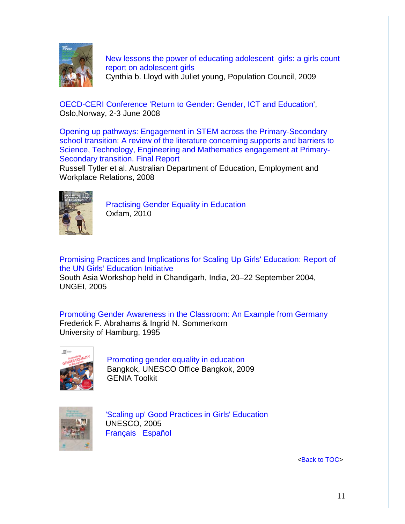

[New lessons the power of educating adolescent girls: a girls count](http://www.popcouncil.org/pdfs/2009PGY_NewLessons.pdf)  report on [adolescent girls](http://www.popcouncil.org/pdfs/2009PGY_NewLessons.pdf) Cynthia b. Lloyd with Juliet young, Population Council, 2009

[OECD-CERI Conference 'Return to Gender: Gender, ICT and Education'](http://www.oecd.org/document/20/0,3746,fr_2649_35845581_40830228_1_1_1_1,00.html), Oslo,Norway, 2-3 June 2008

[Opening up pathways: Engagement in STEM across the Primary-Secondary](http://www.deewr.gov.au/skills/resources/documents/openpathinscitechmathenginprimsecschtrans.doc)  [school transition: A review of the literature concerning supports and barriers to](http://www.deewr.gov.au/skills/resources/documents/openpathinscitechmathenginprimsecschtrans.doc)  [Science, Technology, Engineering and Mathematics engagement at Primary-](http://www.deewr.gov.au/skills/resources/documents/openpathinscitechmathenginprimsecschtrans.doc)[Secondary transition. Final Report](http://www.deewr.gov.au/skills/resources/documents/openpathinscitechmathenginprimsecschtrans.doc)

Russell Tytler et al. Australian Department of Education, Employment and Workplace Relations, 2008



[Practising Gender Equality in Education](http://www.oxfam.org.uk/resources/downloads/ProgIns_wholebook.pdf)  Oxfam, 2010

[Promising Practices and Implications for Scaling Up Girls' Education: Report of](http://www.thecommonwealth.org/Shared_ASP_Files/UploadedFiles/EEC92105-A719-40AC-AE5D-CE77F3FF6A38_Asiadoc.pdf)  [the UN Girls' Education Initiative](http://www.thecommonwealth.org/Shared_ASP_Files/UploadedFiles/EEC92105-A719-40AC-AE5D-CE77F3FF6A38_Asiadoc.pdf) South Asia Workshop held in Chandigarh, India, 20–22 September 2004, UNGEI, 2005

[Promoting Gender Awareness in the Classroom: An Example from Germany](http://www.waxmann.com/fileadmin/media/zusatztexte/postlethwaite/abrahams.pdf) Frederick F. Abrahams & Ingrid N. Sommerkorn University of Hamburg, 1995



[Promoting gender equality in education](http://unesdoc.unesco.org/images/0018/001864/186495e.pdf) Bangkok, UNESCO Office Bangkok, 2009 GENIA Toolkit



['Scaling up' Good Practices in Girls' Education](http://unesdoc.unesco.org/images/0014/001422/142240e.pdf)  UNESCO, 2005 [Français](http://unesdoc.unesco.org/images/0014/001422/142240f.pdf) [Español](http://unesdoc.unesco.org/images/0014/001422/142240s.pdf)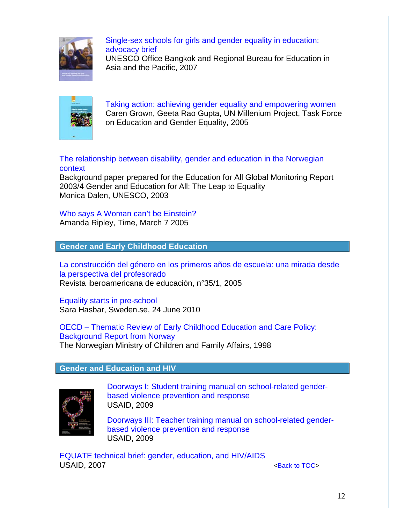

[Single-sex schools for girls and gender equality in education:](http://unesdoc.unesco.org/images/0016/001611/161194eo.pdf)  [advocacy brief](http://unesdoc.unesco.org/images/0016/001611/161194eo.pdf)

UNESCO Office Bangkok and Regional Bureau for Education in Asia and the Pacific, 2007



[Taking action: achieving gender equality and empowering women](http://www.unmillenniumproject.org/reports/tf_gender.htm) Caren Grown, Geeta Rao Gupta, UN Millenium Project, Task Force on Education and Gender Equality, 2005

### [The relationship between disability, gender and education in the Norwegian](http://unesdoc.unesco.org/images/0014/001467/146758e.pdf)  [context](http://unesdoc.unesco.org/images/0014/001467/146758e.pdf)

Background paper prepared for the Education for All Global Monitoring Report 2003/4 Gender and Education for All: The Leap to Equality Monica Dalen, UNESCO, 2003

# [Who says A Woman can't be Einstein?](http://www.time.com/time/magazine/article/0,9171,1032332-1,00.html)

Amanda Ripley, Time, March 7 2005

<span id="page-11-0"></span>**Gender and Early Childhood Education**

[La construcción del género en los primeros años de escuela: una mirada desde](http://www.educacionenvalores.org/IMG/pdf/genero.pdf)  [la perspectiva del profesorado](http://www.educacionenvalores.org/IMG/pdf/genero.pdf) Revista iberoamericana de educación, n°35/1, 2005

[Equality starts in pre-school](http://www.sweden.se/eng/Home/Education/Preschool/Reading/Equality-at-daycare/) Sara Hasbar, Sweden.se, 24 June 2010

OECD – [Thematic Review of Early Childhood Education and](http://www.oecd.org/dataoecd/48/53/2476185.pdf) Care Policy: [Background Report from Norway](http://www.oecd.org/dataoecd/48/53/2476185.pdf) The Norwegian Ministry of Children and Family Affairs, 1998

# <span id="page-11-1"></span>**Gender and Education and HIV**



[Doorways I: Student training manual on school-related gender](http://www.usaid.gov/our_work/cross-cutting_programs/wid/pubs/Doorways_I_Student_Manual.pdf)[based violence prevention and response](http://www.usaid.gov/our_work/cross-cutting_programs/wid/pubs/Doorways_I_Student_Manual.pdf) USAID, 2009

[Doorways III: Teacher training manual on school-related gender](http://www.usaid.gov/our_work/cross-cutting_programs/wid/pubs/Doorways_III_Teachers_Manual.pdf)[based violence prevention and response](http://www.usaid.gov/our_work/cross-cutting_programs/wid/pubs/Doorways_III_Teachers_Manual.pdf) USAID, 2009

[EQUATE technical brief: gender, education, and HIV/AIDS](http://pdf.usaid.gov/pdf_docs/PNADM832.pdf) USAID, 2007 **Example 2007** Contract to Tomorrow and the set of the set of the set of the set of the set of the set of the set of the set of the set of the set of the set of the set of the set of the set of the set of the s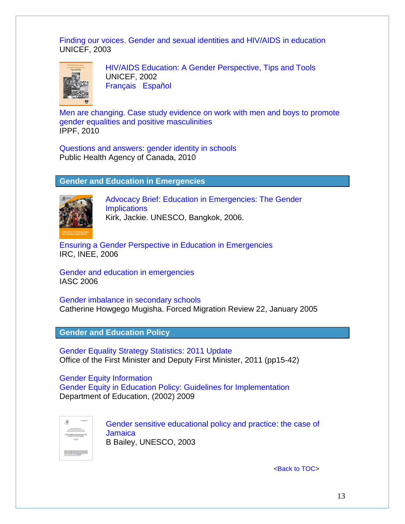[Finding our voices. Gender and sexual identities and HIV/AIDS in education](http://hivaidsclearinghouse.unesco.org/search/resources/Gender_sexuality_Africa.pdf) UNICEF, 2003



[HIV/AIDS Education: A Gender Perspective, Tips and Tools](http://www.unicef.org/lifeskills/files/UNICEF_Gender_HIV.Eng.pdf) UNICEF, 2002 [Français](http://www.unicef.org/lifeskills/files/UNICEF_GenderHIV_Fren.pdf) [Español](http://www.unicef.org/lifeskills/files/UNICEF_Gender_HIVSpan.pdf)

[Men are changing. Case study evidence on work with men and boys to promote](http://hivaidsclearinghouse.unesco.org/search/resources/bie_ippf_men_are_changing_en.pdf) [gender equalities and positive masculinities](http://hivaidsclearinghouse.unesco.org/search/resources/bie_ippf_men_are_changing_en.pdf) IPPF, 2010

[Questions and answers: gender identity in schools](http://www.phac-aspc.gc.ca/publicat/qagis-qrise/pdf/qagis-qrise-eng.pdf) Public Health Agency of Canada, 2010

### <span id="page-12-0"></span>**Gender and Education in Emergencies**



[Advocacy Brief: Education in Emergencies: The Gender](http://unesdoc.unesco.org/images/0014/001489/148908e.pdf)  **[Implications](http://unesdoc.unesco.org/images/0014/001489/148908e.pdf)** Kirk, Jackie. UNESCO, Bangkok, 2006.

[Ensuring a Gender Perspective in Education in Emergencies](http://www.glp.net/c/document_library/get_file?folderId=12858&name=DLFE-978.pdf) IRC, INEE, 2006

[Gender and education in emergencies](http://www.humanitarianreform.org/humanitarianreform/Portals/1/cluster%20approach%20page/clusters%20pages/Gender/Gender%20Toolkit/E_GH_06_Education.pdf) IASC 2006

[Gender imbalance in secondary schools](http://www.fmreview.org/FMRpdfs/FMR22/FMR2216.pdf) Catherine Howgego Mugisha. Forced Migration Review 22, January 2005

<span id="page-12-1"></span>**Gender and Education Policy**

[Gender Equality Strategy Statistics: 2011 Update](http://www.ofmdfmni.gov.uk/gender_equality_strategy_statistics__2011_update.pdf) Office of the First Minister and Deputy First Minister, 2011 (pp15-42)

[Gender Equity Information](http://www.education.gov.pg/index.php?content=quicklinks/gender) [Gender Equity in Education Policy: Guidelines for Implementation](http://www.education.gov.pg/quicklinks/gender/gender-equity-policy-v3.pdf) Department of Education, (2002) 2009



[Gender sensitive educational policy and practice: the case of](http://unesdoc.unesco.org/images/0014/001467/146747e.pdf)  **[Jamaica](http://unesdoc.unesco.org/images/0014/001467/146747e.pdf)** B Bailey, UNESCO, 2003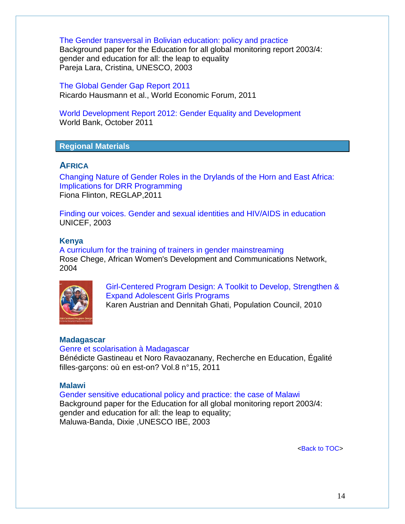[The Gender transversal in Bolivian education: policy and practice](http://unesdoc.unesco.org/images/0014/001468/146878e.pdf) Background paper for the Education for all global monitoring report 2003/4: gender and education for all: the leap to equality Pareja Lara, Cristina, UNESCO, 2003

[The Global Gender Gap Report 2011](http://www.uis.unesco.org/Library/Documents/global-gender-gap-report-education-2011-en.pdf) Ricardo Hausmann et al., World Economic Forum, 2011

[World Development Report 2012: Gender Equality and Development](http://econ.worldbank.org/WBSITE/EXTERNAL/EXTDEC/EXTRESEARCH/EXTWDRS/EXTWDR2012/0,,contentMDK:22999750~pagePK:64167689~piPK:64167673~theSitePK:7778063,00.html) World Bank, October 2011

### <span id="page-13-0"></span>**Regional Materials**

### <span id="page-13-1"></span>**AFRICA**

[Changing Nature of Gender Roles in the Drylands of the Horn and East Africa:](http://reliefweb.int/sites/reliefweb.int/files/resources/F_R_479.pdf)  [Implications for DRR Programming](http://reliefweb.int/sites/reliefweb.int/files/resources/F_R_479.pdf) Fiona Flinton, REGLAP,2011

[Finding our voices. Gender and sexual identities and HIV/AIDS in education](http://hivaidsclearinghouse.unesco.org/search/resources/Gender_sexuality_Africa.pdf) UNICEF, 2003

#### <span id="page-13-2"></span>**Kenya**

[A curriculum for the training of trainers in gender mainstreaming](http://www4.worldbank.org/afr/ssatp/Resources/HTML/Gender-RG/Source%20%20documents/Training%20materials/TRGEN1%20Femnet%20Gender%20Mainstreaming%20TOT.pdf) Rose Chege, African Women's Development and Communications Network, 2004



[Girl-Centered Program Design: A Toolkit to Develop, Strengthen &](http://www.ungei.org/resources/files/2010PGY_AdolGirlToolkitComplete.pdf)  [Expand Adolescent Girls Programs](http://www.ungei.org/resources/files/2010PGY_AdolGirlToolkitComplete.pdf)

Karen Austrian and Dennitah Ghati, Population Council, 2010

#### <span id="page-13-3"></span>**Madagascar**

#### [Genre et scolarisation à Madagascar](http://questionsvives.revues.org/710)

Bénédicte Gastineau et Noro Ravaozanany, Recherche en Education, Égalité filles-garçons: où en est-on? Vol.8 n°15, 2011

#### <span id="page-13-4"></span>**Malawi**

[Gender sensitive educational policy and practice: the case of Malawi](http://unesdoc.unesco.org/images/0014/001468/146804e.pdf) Background paper for the Education for all global monitoring report 2003/4: gender and education for all: the leap to equality; Maluwa-Banda, Dixie ,UNESCO IBE, 2003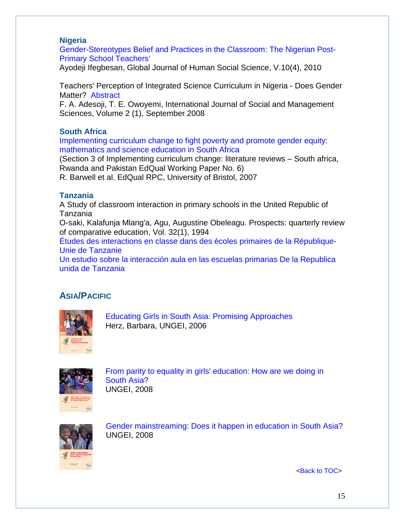### <span id="page-14-0"></span>**Nigeria**

[Gender-Stereotypes Belief and Practices in the Classroom: The Nigerian Post-](http://globaljournals.org/GJHSS_Volume10/4-Gender-Stereotypes-Belief-and-Practices-in-the-Classroom-The-Nigerian-Post-Primary-School-Teachers.pdf)[Primary School Teachers'](http://globaljournals.org/GJHSS_Volume10/4-Gender-Stereotypes-Belief-and-Practices-in-the-Classroom-The-Nigerian-Post-Primary-School-Teachers.pdf)

Ayodeji Ifegbesan, Global Journal of Human Social Science, V.10(4), 2010

Teachers' Perception of Integrated Science Curriculum in Nigeria - Does Gender Matter? [Abstract](http://www.ijosams.com/home/index.php?option=com_content&view=article&id=96:teachers-perception-of-integrated-science-curriculum-in-nigeria-does-gender-matter-&catid=42:volume-2-no-1&Itemid=59)

F. A. Adesoji, T. E. Owoyemi, International Journal of Social and Management Sciences, Volume 2 (1), September 2008

### <span id="page-14-1"></span>**South Africa**

[Implementing curriculum change to fight poverty and promote gender equity:](http://www.edqual.org/publications/workingpaper/edqualwp6.pdf)  [mathematics and science education in South Africa](http://www.edqual.org/publications/workingpaper/edqualwp6.pdf)

(Section 3 of Implementing curriculum change: literature reviews – South africa, Rwanda and Pakistan EdQual Working Paper No. 6)

R. Barwell et al. EdQual RPC, University of Bristol, 2007

### <span id="page-14-2"></span>**Tanzania**

A Study of classroom interaction in primary schools in the United Republic of Tanzania

O-saki, Kalafunja Mlang'a, Agu, Augustine Obeleagu. Prospects: quarterly review of comparative education, Vol. 32(1), 1994

[Études des interactions en classe dans des écoles primaires de la République-](http://unesdoc.unesco.org/images/0013/001328/132821f.pdf#132821)[Unie de Tanzanie](http://unesdoc.unesco.org/images/0013/001328/132821f.pdf#132821)

[Un estudio sobre la interacción aula en las escuelas primarias De la Republica](http://unesdoc.unesco.org/images/0013/001328/132821s.pdf#132821)  [unida de Tanzania](http://unesdoc.unesco.org/images/0013/001328/132821s.pdf#132821)

# <span id="page-14-3"></span>**ASIA/PACIFIC**



[Educating Girls in South Asia: Promising Approaches](http://www.ungei.org/infobycountry/files/unicefrosa_educatinggirlsinSouthAsia.pdf) Herz, Barbara, UNGEI, 2006



[From parity to equality in girls' education: How are we doing in](http://www.ungei.org/resources/files/Final_FPEGE_23_may_08.pdf)  [South Asia?](http://www.ungei.org/resources/files/Final_FPEGE_23_may_08.pdf)  UNGEI, 2008



[Gender mainstreaming: Does it happen in education in South Asia?](http://www.ungei.org/resources/files/Gender_26_May_08.pdf)  UNGEI, 2008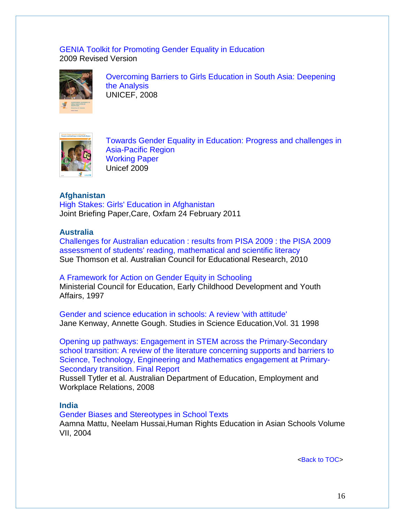#### [GENIA Toolkit for Promoting Gender Equality in Education](http://www.unescobkk.org/education/gender/resources/genia-toolkit/) 2009 Revised Version



[Overcoming Barriers to Girls Education in South Asia: Deepening](http://www.unicef.org/rosa/whole_book_b.pdf)  [the Analysis](http://www.unicef.org/rosa/whole_book_b.pdf) UNICEF, 2008



[Towards Gender Equality in Education: Progress and challenges in](http://www.ungei.org/resources/files/Towards_Gender_Equality_in_Education_051809.pdf)  [Asia-Pacific Region](http://www.ungei.org/resources/files/Towards_Gender_Equality_in_Education_051809.pdf) [Working Paper](http://www.ungei.org/resources/files/Towards_Gender_Equality_in_Education_051809.pdf) Unicef 2009

## <span id="page-15-0"></span>**Afghanistan**

[High Stakes: Girls' Education in Afghanistan](http://www.oxfam.org/en/policy/high-stakes-girls-education-afghanistan)  Joint Briefing Paper,Care, Oxfam 24 February 2011

### <span id="page-15-1"></span>**Australia**

[Challenges for Australian education : results from PISA 2009 : the PISA 2009](http://research.acer.edu.au/cgi/viewcontent.cgi?article=1008&context=ozpisa)  [assessment of students' reading, mathematical and scientific literacy](http://research.acer.edu.au/cgi/viewcontent.cgi?article=1008&context=ozpisa) Sue Thomson et al. Australian Council for Educational Research, 2010

# [A Framework for Action on Gender Equity in Schooling](http://www.mceecdya.edu.au/mceecdya/default.asp?id=11952) Ministerial Council for Education, Early Childhood Development and Youth

Affairs, 1997

[Gender and science education in schools: A review 'with attitude'](http://education.uregina.ca/nolank/ECIwinter2005/articles/GOUGH%20on%20gender%20science.pdf) Jane Kenway, Annette Gough. Studies in Science Education,Vol. 31 1998

[Opening up pathways: Engagement in STEM across the Primary-Secondary](http://www.deewr.gov.au/skills/resources/documents/openpathinscitechmathenginprimsecschtrans.doc)  [school transition: A review of the literature concerning supports and barriers to](http://www.deewr.gov.au/skills/resources/documents/openpathinscitechmathenginprimsecschtrans.doc)  [Science, Technology, Engineering and Mathematics engagement at Primary-](http://www.deewr.gov.au/skills/resources/documents/openpathinscitechmathenginprimsecschtrans.doc)[Secondary transition. Final Report](http://www.deewr.gov.au/skills/resources/documents/openpathinscitechmathenginprimsecschtrans.doc)

Russell Tytler et al. Australian Department of Education, Employment and Workplace Relations, 2008

### <span id="page-15-2"></span>**India**

[Gender Biases and Stereotypes in School Texts](http://www.hurights.or.jp/pub/hreas/7/11GenderBias.pdf)

Aamna Mattu, Neelam Hussai,Human Rights Education in Asian Schools Volume VII, 2004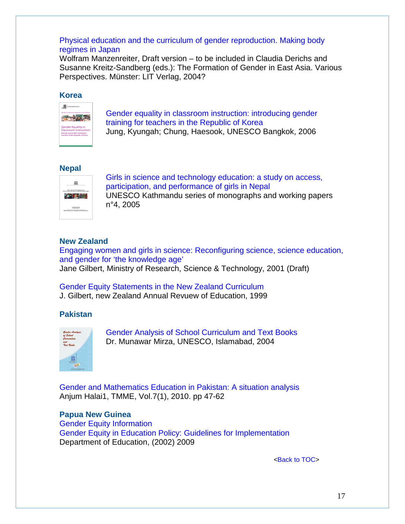### [Physical education and the curriculum of gender reproduction. Making body](http://kenkyuu.jpn.univie.ac.at/fileadmin/STAFF_DIRECTORY/Manzenreiter/PE_making_body_regimes.pdf)  [regimes in Japan](http://kenkyuu.jpn.univie.ac.at/fileadmin/STAFF_DIRECTORY/Manzenreiter/PE_making_body_regimes.pdf)

Wolfram Manzenreiter, Draft version – to be included in Claudia Derichs and Susanne Kreitz-Sandberg (eds.): The Formation of Gender in East Asia. Various Perspectives. Münster: LIT Verlag, 2004?

### <span id="page-16-0"></span>**Korea**



[Gender equality in classroom instruction: introducing gender](http://unesdoc.unesco.org/images/0014/001459/145992e.pdf)  [training for teachers in the](http://unesdoc.unesco.org/images/0014/001459/145992e.pdf) Republic of Korea Jung, Kyungah; Chung, Haesook, UNESCO Bangkok, 2006

### <span id="page-16-1"></span>**Nepal**



[Girls in science and technology education: a study on access,](http://unesdoc.unesco.org/images/0013/001394/139412e.pdf)  [participation, and performance of girls in Nepal](http://unesdoc.unesco.org/images/0013/001394/139412e.pdf)  UNESCO Kathmandu series of monographs and working papers n°4, 2005

# <span id="page-16-2"></span>**New Zealand**

[Engaging women and girls in science: Reconfiguring science, science education,](http://www.morst.govt.nz/Documents/publications/researchreports/Engaging-Women-and-Girls-in-Science.pdf)  [and gender for 'the knowledge age'](http://www.morst.govt.nz/Documents/publications/researchreports/Engaging-Women-and-Girls-in-Science.pdf)  Jane Gilbert, Ministry of Research, Science & Technology, 2001 (Draft)

# [Gender Equity Statements in the New Zealand Curriculum](http://www.victoria.ac.nz/nzaroe/1998/pdf/text-gilbert.pdf)

J. Gilbert, new Zealand Annual Revuew of Education, 1999

# <span id="page-16-3"></span>**Pakistan**



[Gender Analysis of School Curriculum and Text Books](http://unesco.org.pk/education/documents/publications/Gender%20Analysis%20of%20School%20Curriculum%20and%20Text%20Books.pdf) Dr. Munawar Mirza, UNESCO, Islamabad, 2004

[Gender and Mathematics Education in Pakistan: A situation](http://www.math.umt.edu/tmme/vol7no1/TMMEvol7no1_2010_article3_pp.47_62.pdf) analysis Anjum Halai1, TMME, Vol.7(1), 2010. pp 47-62

# <span id="page-16-4"></span>**Papua New Guinea**

[Gender Equity Information](http://www.education.gov.pg/index.php?content=quicklinks/gender) [Gender Equity in Education Policy: Guidelines for Implementation](http://www.education.gov.pg/quicklinks/gender/gender-equity-policy-v3.pdf) Department of Education, (2002) 2009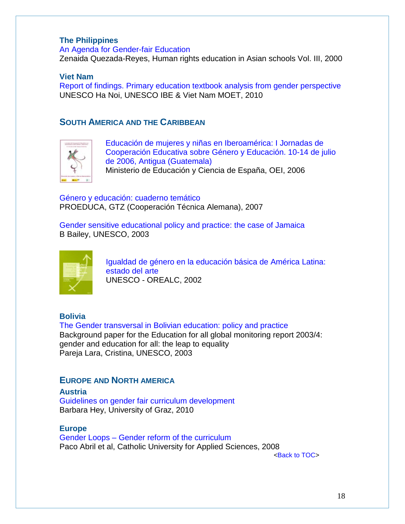### <span id="page-17-0"></span>**The Philippines**

[An Agenda for Gender-fair Education](http://www.hurights.or.jp/pub/hreas/3/11reyes.pdf)  Zenaida Quezada-Reyes, Human rights education in Asian schools Vol. III, 2000

### <span id="page-17-1"></span>**Viet Nam**

[Report of findings. Primary education textbook analysis from gender perspective](http://www.ibe.unesco.org/fileadmin/user_upload/News/2010/DoSon_workshop_2010_SummaryReport.pdf) UNESCO Ha Noi, UNESCO IBE & Viet Nam MOET, 2010

## <span id="page-17-2"></span>**SOUTH AMERICA AND THE CARIBBEAN**



[Educación de mujeres y niñas en Iberoamérica: I Jornadas de](http://www.oei.es/genero/documentos/Educacion_de_mujeres.pdf)  [Cooperación Educativa sobre Género y Educación. 10-14 de julio](http://www.oei.es/genero/documentos/Educacion_de_mujeres.pdf)  [de 2006, Antigua \(Guatemala\)](http://www.oei.es/genero/documentos/Educacion_de_mujeres.pdf) Ministerio de Educación y Ciencia de España, OEI, 2006

Género y [educación: cuaderno temático](http://www.oei.es/genero/documentos/egenero.pdf) PROEDUCA, GTZ (Cooperación Técnica Alemana), 2007

[Gender sensitive educational policy and practice: the case of Jamaica](http://unesdoc.unesco.org/images/0014/001467/146747e.pdf) B Bailey, UNESCO, 2003



[Igualdad de género en la educación básica de América Latina:](http://unesdoc.unesco.org/images/0013/001310/131040s.pdf)  [estado del arte](http://unesdoc.unesco.org/images/0013/001310/131040s.pdf) UNESCO - OREALC, 2002

<span id="page-17-3"></span>**Bolivia** [The Gender transversal in Bolivian education: policy and practice](http://unesdoc.unesco.org/images/0014/001468/146878e.pdf) Background paper for the Education for all global monitoring report 2003/4: gender and education for all: the leap to equality Pareja Lara, Cristina, UNESCO, 2003

# <span id="page-17-4"></span>**EUROPE AND NORTH AMERICA**

<span id="page-17-5"></span>**Austria** [Guidelines on gender fair curriculum development](http://www.wus-austria.org/files/docs/Publications/guidelines_gender_fair_curriculum_development.pdf) Barbara Hey, University of Graz, 2010

<span id="page-17-6"></span>**Europe**

Gender Loops – Gender reform of the curriculum Paco Abril et al, Catholic University for Applied Sciences, 2008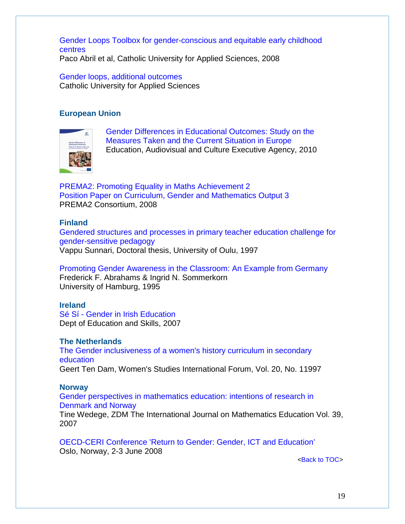[Gender Loops Toolbox for gender-conscious and equitable early childhood](http://www.genderloops.eu/docs/toolbox.pdf) [centres](http://www.genderloops.eu/docs/toolbox.pdf) Paco Abril et al, Catholic University for Applied Sciences, 2008

[Gender loops, additional outcomes](http://www.genderloops.eu/en/outcomes.php) Catholic University for Applied Sciences

### <span id="page-18-0"></span>**European Union**



[Gender Differences in Educational Outcomes: Study on the](http://eacea.ec.europa.eu/education/eurydice/documents/thematic_reports/120EN.pdf)  [Measures Taken and the Current Situation in Europe](http://eacea.ec.europa.eu/education/eurydice/documents/thematic_reports/120EN.pdf) Education, Audiovisual and Culture Executive Agency, 2010

[PREMA2: Promoting Equality in Maths Achievement 2](http://prema2.iacm.forth.gr/docs/dels/Output3.pdf) [Position Paper on Curriculum, Gender and Mathematics Output 3](http://prema2.iacm.forth.gr/docs/dels/Output3.pdf) PREMA2 Consortium, 2008

#### <span id="page-18-1"></span>**Finland**

[Gendered structures and processes in primary teacher education challenge for](http://herkules.oulu.fi/isbn9514246985/isbn9514246985.pdf)  [gender-sensitive pedagogy](http://herkules.oulu.fi/isbn9514246985/isbn9514246985.pdf) Vappu Sunnari, Doctoral thesis, University of Oulu, 1997

[Promoting Gender Awareness in the Classroom: An Example from Germany](http://www.waxmann.com/fileadmin/media/zusatztexte/postlethwaite/abrahams.pdf) Frederick F. Abrahams & Ingrid N. Sommerkorn University of Hamburg, 1995

### <span id="page-18-2"></span>**Ireland**

Sé Sí - [Gender in Irish Education](http://www.education.ie/home/home.jsp?pcategory=17216&ecategory=17325&language=EN) Dept of Education and Skills, 2007

#### <span id="page-18-3"></span>**The Netherlands**

[The Gender inclusiveness of a women's history curriculum in secondary](http://dare.uva.nl/document/44648)  [education](http://dare.uva.nl/document/44648) Geert Ten Dam, Women's Studies International Forum, Vol. 20, No. 11997

#### <span id="page-18-4"></span>**Norway**

[Gender perspectives in mathematics education: intentions of research in](http://dspace.mah.se/dspace/bitstream/handle/2043/4459/TineWedege_ZMD_39.pdf;jsessionid=CBE8AA4E42DE769E0A77A6A944E2971A?sequence=1)  [Denmark and Norway](http://dspace.mah.se/dspace/bitstream/handle/2043/4459/TineWedege_ZMD_39.pdf;jsessionid=CBE8AA4E42DE769E0A77A6A944E2971A?sequence=1) Tine Wedege, ZDM The International Journal on Mathematics Education Vol. 39, 2007

[OECD-CERI Conference 'Return to Gender: Gender, ICT and Education'](http://www.oecd.org/document/20/0,3746,fr_2649_35845581_40830228_1_1_1_1,00.html) Oslo, Norway, 2-3 June 2008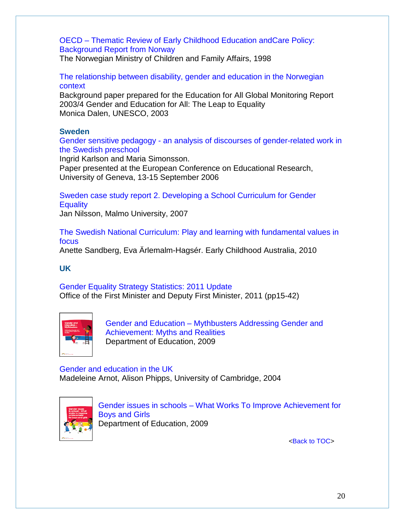# OECD – [Thematic Review of Early Childhood Education andCare Policy:](http://www.oecd.org/dataoecd/48/53/2476185.pdf)  [Background Report from Norway](http://www.oecd.org/dataoecd/48/53/2476185.pdf)

The Norwegian Ministry of Children and Family Affairs, 1998

### [The relationship between disability, gender and education in the Norwegian](http://unesdoc.unesco.org/images/0014/001467/146758e.pdf)  [context](http://unesdoc.unesco.org/images/0014/001467/146758e.pdf)

Background paper prepared for the Education for All Global Monitoring Report 2003/4 Gender and Education for All: The Leap to Equality Monica Dalen, UNESCO, 2003

## <span id="page-19-0"></span>**Sweden**

Gender sensitive pedagogy - [an analysis of discourses of gender-related work in](http://www.leeds.ac.uk/educol/documents/158671.htm)  [the Swedish preschool](http://www.leeds.ac.uk/educol/documents/158671.htm)

Ingrid Karlson and Maria Simonsson.

Paper presented at the European Conference on Educational Research, University of Geneva, 13-15 September 2006

[Sweden case study report 2. Developing a School Curriculum for Gender](http://www.epasi.eu/CaseStudySE2.pdf)  **[Equality](http://www.epasi.eu/CaseStudySE2.pdf)** 

Jan Nilsson, Malmo University, 2007

[The Swedish National Curriculum: Play and learning with fundamental values in](http://www.earlychildhoodaustralia.org.au/index2.php?option=com_content&do_pdf=1&id=1395)  [focus](http://www.earlychildhoodaustralia.org.au/index2.php?option=com_content&do_pdf=1&id=1395)

Anette Sandberg, Eva Ärlemalm-Hagsér. Early Childhood Australia, 2010

# <span id="page-19-1"></span>**UK**

[Gender Equality Strategy Statistics: 2011 Update](http://www.ofmdfmni.gov.uk/gender_equality_strategy_statistics__2011_update.pdf) Office of the First Minister and Deputy First Minister, 2011 (pp15-42)



Gender and Education – [Mythbusters Addressing Gender](https://www.education.gov.uk/publications/eOrderingDownload/00599-2009BKT-EN.pdf) and [Achievement: Myths and Realities](https://www.education.gov.uk/publications/eOrderingDownload/00599-2009BKT-EN.pdf) Department of Education, 2009

[Gender and education in the UK](http://portal.unesco.org/education/es/files/25755/10739011441Gender_and_Education_in_the_UK.doc/Gender+and+Education+in+the+UK.doc) Madeleine Arnot, Alison Phipps, University of Cambridge, 2004



Gender issues in schools – [What Works To Improve Achievement for](http://media.education.gov.uk/assets/files/pdf/8/8311dcsfgender%20what%20works%20bmkpdf.pdf)  [Boys and Girls](http://media.education.gov.uk/assets/files/pdf/8/8311dcsfgender%20what%20works%20bmkpdf.pdf) Department of Education, 2009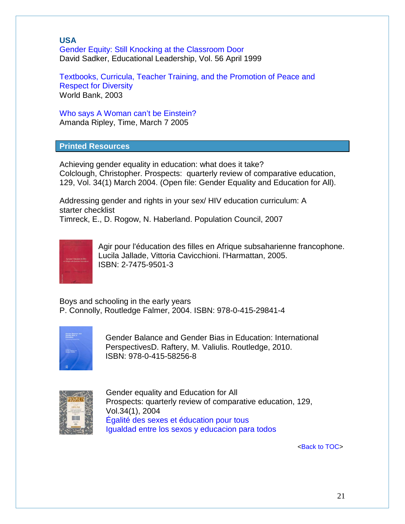# <span id="page-20-0"></span>**USA**

[Gender Equity: Still Knocking at the Classroom Door](http://www.sadker.org/PDF/GenderEquity.pdf) David Sadker, Educational Leadership, Vol. 56 April 1999

[Textbooks, Curricula, Teacher Training, and the Promotion](http://siteresources.worldbank.org/EDUCATION/Resources/278200-1121703274255/1439264-1126807073059/unesco_WB_meeting_Mar03.pdf) of Peace and [Respect for Diversity](http://siteresources.worldbank.org/EDUCATION/Resources/278200-1121703274255/1439264-1126807073059/unesco_WB_meeting_Mar03.pdf) World Bank, 2003

[Who says A Woman can't be Einstein?](http://www.time.com/time/magazine/article/0,9171,1032332-1,00.html) Amanda Ripley, Time, March 7 2005

<span id="page-20-1"></span>**Printed Resources**

Achieving gender equality in education: what does it take? Colclough, Christopher. Prospects: quarterly review of comparative education, 129, Vol. 34(1) March 2004. (Open file: Gender Equality and Education for All).

Addressing gender and rights in your sex/ HIV education curriculum: A starter checklist Timreck, E., D. Rogow, N. Haberland. Population Council, 2007



Agir pour l'éducation des filles en Afrique subsaharienne francophone. Lucila Jallade, Vittoria Cavicchioni. l'Harmattan, 2005. ISBN: 2-7475-9501-3

Boys and schooling in the early years P. Connolly, Routledge Falmer, 2004. ISBN: 978-0-415-29841-4



Gender Balance and Gender Bias in Education: International PerspectivesD. Raftery, M. Valiulis. Routledge, 2010. ISBN: 978-0-415-58256-8



Gender equality and Education for All Prospects: quarterly review of comparative education, 129, Vol.34(1), 2004 [Égalité des sexes et éducation pour tous](http://unesdoc.unesco.org/images/0013/001357/135718f.pdf)  [Igualdad entre los sexos y educacion para todos](http://unesdoc.unesco.org/images/0013/001357/135718s.pdf)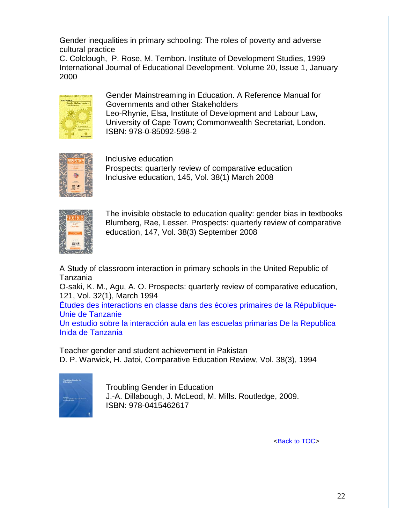Gender inequalities in primary schooling: The roles of poverty and adverse cultural practice

C. Colclough, P. Rose, M. Tembon. Institute of Development Studies, 1999 International Journal of Educational Development. Volume 20, Issue 1, January 2000



Gender Mainstreaming in Education. A Reference Manual for Governments and other Stakeholders Leo-Rhynie, Elsa, Institute of Development and Labour Law, University of Cape Town; Commonwealth Secretariat, London. ISBN: 978-0-85092-598-2



Inclusive education Prospects: quarterly review of comparative education Inclusive education, 145, Vol. 38(1) March 2008



The invisible obstacle to education quality: gender bias in textbooks Blumberg, Rae, Lesser. Prospects: quarterly review of comparative education, 147, Vol. 38(3) September 2008

A Study of classroom interaction in primary schools in the United Republic of Tanzania

O-saki, K. M., Agu, A. O. Prospects: quarterly review of comparative education, 121, Vol. 32(1), March 1994

[Études des interactions en classe dans des écoles primaires de la République-](http://unesdoc.unesco.org/images/0013/001328/132821f.pdf#132821)[Unie de Tanzanie](http://unesdoc.unesco.org/images/0013/001328/132821f.pdf#132821)

[Un estudio sobre la interacción aula en las escuelas primarias De la Republica](http://unesdoc.unesco.org/images/0013/001328/132821s.pdf#132821)  [Inida de Tanzania](http://unesdoc.unesco.org/images/0013/001328/132821s.pdf#132821)

Teacher gender and student achievement in Pakistan D. P. Warwick, H. Jatoi, Comparative Education Review, Vol. 38(3), 1994



Troubling Gender in Education J.-A. Dillabough, J. McLeod, M. Mills. Routledge, 2009. ISBN: 978-0415462617